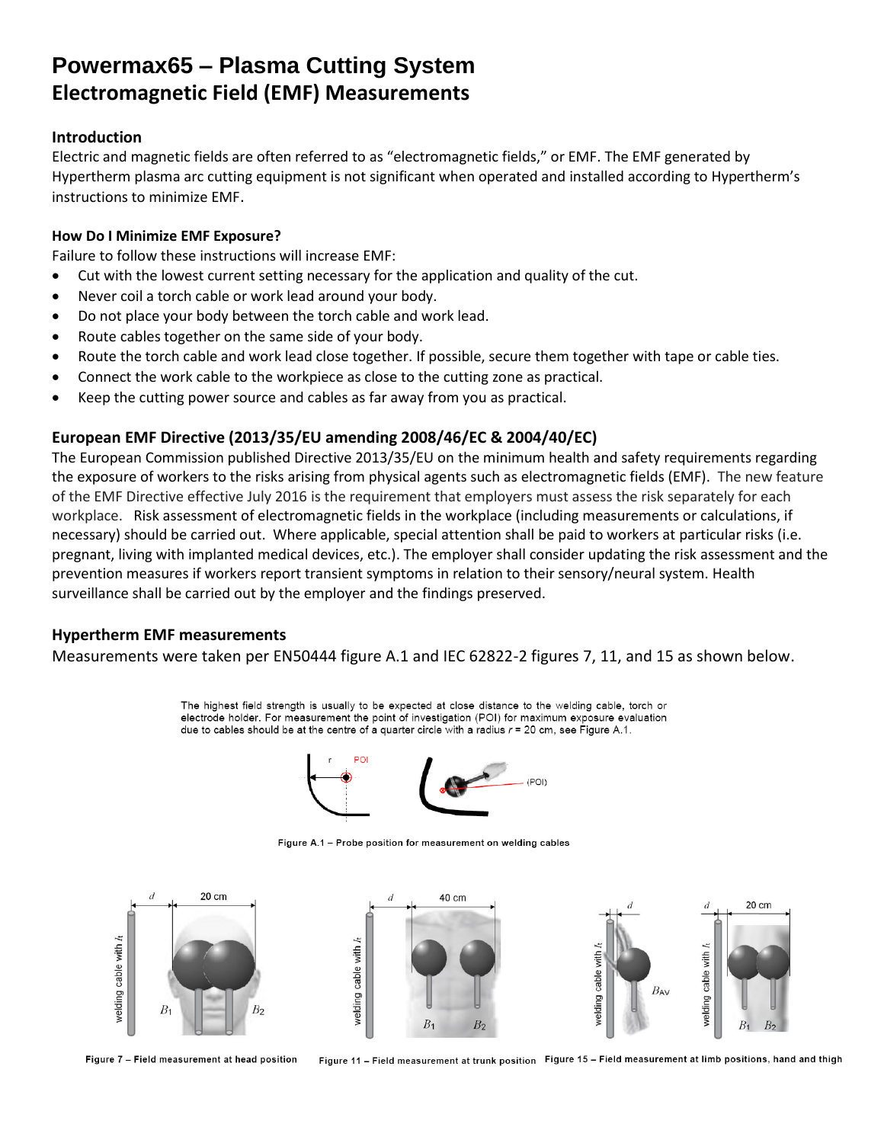## **Powermax65 – Plasma Cutting System Electromagnetic Field (EMF) Measurements**

### **Introduction**

Electric and magnetic fields are often referred to as "electromagnetic fields," or EMF. The EMF generated by Hypertherm plasma arc cutting equipment is not significant when operated and installed according to Hypertherm's instructions to minimize EMF.

### **How Do I Minimize EMF Exposure?**

Failure to follow these instructions will increase EMF:

- Cut with the lowest current setting necessary for the application and quality of the cut.
- Never coil a torch cable or work lead around your body.
- Do not place your body between the torch cable and work lead.
- Route cables together on the same side of your body.
- Route the torch cable and work lead close together. If possible, secure them together with tape or cable ties.
- Connect the work cable to the workpiece as close to the cutting zone as practical.
- Keep the cutting power source and cables as far away from you as practical.

## **European EMF Directive (2013/35/EU amending 2008/46/EC & 2004/40/EC)**

The European Commission published Directive 2013/35/EU on the minimum health and safety requirements regarding the exposure of workers to the risks arising from physical agents such as electromagnetic fields (EMF). The new feature of the EMF Directive effective July 2016 is the requirement that employers must assess the risk separately for each workplace. Risk assessment of electromagnetic fields in the workplace (including measurements or calculations, if necessary) should be carried out. Where applicable, special attention shall be paid to workers at particular risks (i.e. pregnant, living with implanted medical devices, etc.). The employer shall consider updating the risk assessment and the prevention measures if workers report transient symptoms in relation to their sensory/neural system. Health surveillance shall be carried out by the employer and the findings preserved.

## **Hypertherm EMF measurements**

Measurements were taken per EN50444 figure A.1 and IEC 62822-2 figures 7, 11, and 15 as shown below.

The highest field strength is usually to be expected at close distance to the welding cable, torch or electrode holder. For measurement the point of investigation (POI) for maximum exposure evaluation due to cables should be at the centre of a quarter circle with a radius  $r = 20$  cm, see Figure A.1.



Figure A.1 - Probe position for measurement on welding cables



Figure 7 - Field measurement at head position

Figure 11 - Field measurement at trunk position Figure 15 - Field measurement at limb positions, hand and thigh